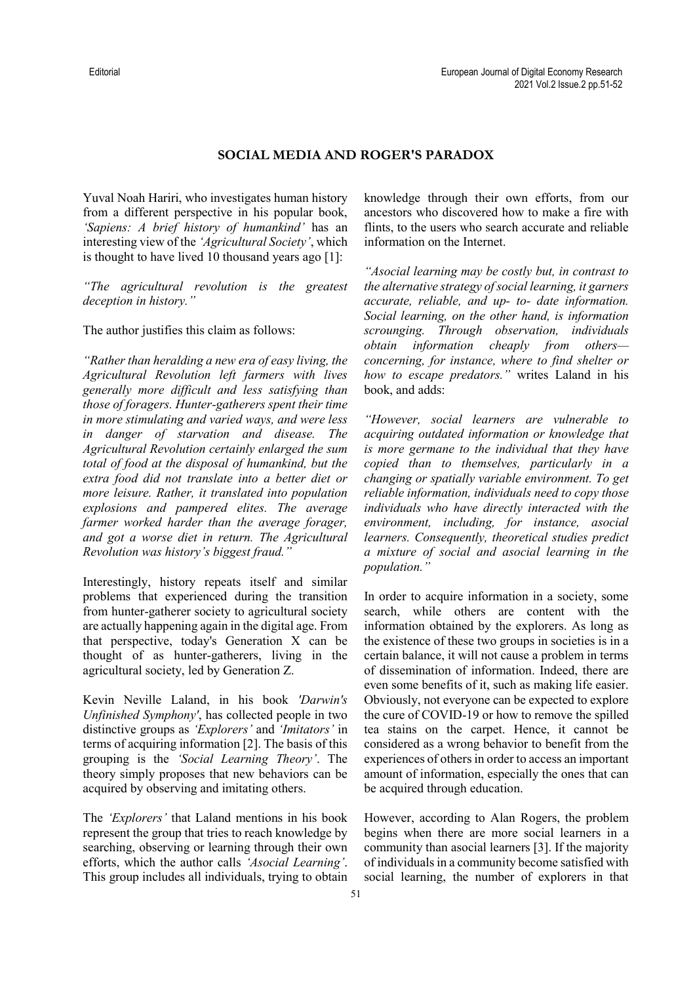## **SOCIAL MEDIA AND ROGER'S PARADOX**

Yuval Noah Hariri, who investigates human history from a different perspective in his popular book, *'Sapiens: A brief history of humankind'* has an interesting view of the *'Agricultural Society'*, which is thought to have lived 10 thousand years ago [1]:

*"The agricultural revolution is the greatest deception in history."*

The author justifies this claim as follows:

*"Rather than heralding a new era of easy living, the Agricultural Revolution left farmers with lives generally more difficult and less satisfying than those of foragers. Hunter-gatherers spent their time in more stimulating and varied ways, and were less in danger of starvation and disease. The Agricultural Revolution certainly enlarged the sum total of food at the disposal of humankind, but the extra food did not translate into a better diet or more leisure. Rather, it translated into population explosions and pampered elites. The average farmer worked harder than the average forager, and got a worse diet in return. The Agricultural Revolution was history's biggest fraud."*

Interestingly, history repeats itself and similar problems that experienced during the transition from hunter-gatherer society to agricultural society are actually happening again in the digital age. From that perspective, today's Generation X can be thought of as hunter-gatherers, living in the agricultural society, led by Generation Z.

Kevin Neville Laland, in his book *'Darwin's Unfinished Symphony'*, has collected people in two distinctive groups as *'Explorers'* and *'Imitators'* in terms of acquiring information [2]. The basis of this grouping is the *'Social Learning Theory'*. The theory simply proposes that new behaviors can be acquired by observing and imitating others.

The *'Explorers'* that Laland mentions in his book represent the group that tries to reach knowledge by searching, observing or learning through their own efforts, which the author calls *'Asocial Learning'*. This group includes all individuals, trying to obtain knowledge through their own efforts, from our ancestors who discovered how to make a fire with flints, to the users who search accurate and reliable information on the Internet.

*"Asocial learning may be costly but, in contrast to the alternative strategy of social learning, it garners accurate, reliable, and up- to- date information. Social learning, on the other hand, is information scrounging. Through observation, individuals obtain information cheaply from others concerning, for instance, where to find shelter or how to escape predators."* writes Laland in his book, and adds:

*"However, social learners are vulnerable to acquiring outdated information or knowledge that is more germane to the individual that they have copied than to themselves, particularly in a changing or spatially variable environment. To get reliable information, individuals need to copy those individuals who have directly interacted with the environment, including, for instance, asocial learners. Consequently, theoretical studies predict a mixture of social and asocial learning in the population."* 

In order to acquire information in a society, some search, while others are content with the information obtained by the explorers. As long as the existence of these two groups in societies is in a certain balance, it will not cause a problem in terms of dissemination of information. Indeed, there are even some benefits of it, such as making life easier. Obviously, not everyone can be expected to explore the cure of COVID-19 or how to remove the spilled tea stains on the carpet. Hence, it cannot be considered as a wrong behavior to benefit from the experiences of others in order to access an important amount of information, especially the ones that can be acquired through education.

However, according to Alan Rogers, the problem begins when there are more social learners in a community than asocial learners [3]. If the majority of individuals in a community become satisfied with social learning, the number of explorers in that